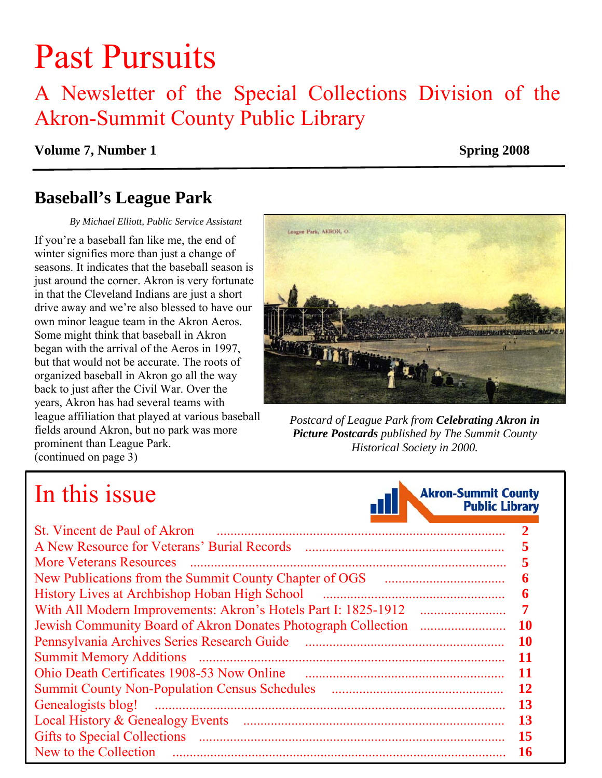# Past Pursuits

### A Newsletter of the Special Collections Division of the Akron-Summit County Public Library

#### **Volume 7, Number 1** Spring 2008

### **Baseball's League Park**

 *By Michael Elliott, Public Service Assistant* 

If you're a baseball fan like me, the end of winter signifies more than just a change of seasons. It indicates that the baseball season is just around the corner. Akron is very fortunate in that the Cleveland Indians are just a short drive away and we're also blessed to have our own minor league team in the Akron Aeros. Some might think that baseball in Akron began with the arrival of the Aeros in 1997, but that would not be accurate. The roots of organized baseball in Akron go all the way back to just after the Civil War. Over the years, Akron has had several teams with league affiliation that played at various baseball *Postcard of League Park from Celebrating Akron in*  fields around Akron, but no park was more prominent than League Park. [\(continued on page 3\)](#page-2-0) 



*Picture Postcards published by The Summit County Historical Society in 2000.* 

## In this issue



| St. Vincent de Paul of Akron                  |    |
|-----------------------------------------------|----|
| A New Resource for Veterans' Burial Records   |    |
| <b>More Veterans Resources</b>                |    |
|                                               | 6  |
| History Lives at Archbishop Hoban High School | 6  |
|                                               |    |
|                                               | 10 |
| Pennsylvania Archives Series Research Guide   | 10 |
| <b>Summit Memory Additions</b>                | 11 |
| Ohio Death Certificates 1908-53 Now Online    | 11 |
|                                               | 12 |
| Genealogists blog!                            | 13 |
|                                               | 13 |
|                                               | 15 |
| New to the Collection                         | 16 |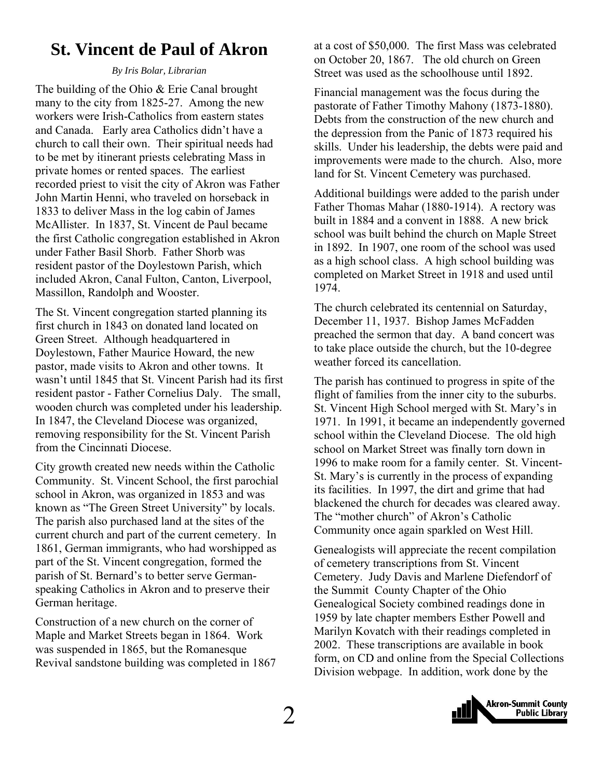### <span id="page-1-0"></span>**St. Vincent de Paul of Akron**

#### *By Iris Bolar, Librarian*

The building of the Ohio & Erie Canal brought many to the city from 1825-27. Among the new workers were Irish-Catholics from eastern states and Canada. Early area Catholics didn't have a church to call their own. Their spiritual needs had to be met by itinerant priests celebrating Mass in private homes or rented spaces. The earliest recorded priest to visit the city of Akron was Father John Martin Henni, who traveled on horseback in 1833 to deliver Mass in the log cabin of James McAllister. In 1837, St. Vincent de Paul became the first Catholic congregation established in Akron under Father Basil Shorb. Father Shorb was resident pastor of the Doylestown Parish, which included Akron, Canal Fulton, Canton, Liverpool, Massillon, Randolph and Wooster.

The St. Vincent congregation started planning its first church in 1843 on donated land located on Green Street. Although headquartered in Doylestown, Father Maurice Howard, the new pastor, made visits to Akron and other towns. It wasn't until 1845 that St. Vincent Parish had its first resident pastor - Father Cornelius Daly. The small, wooden church was completed under his leadership. In 1847, the Cleveland Diocese was organized, removing responsibility for the St. Vincent Parish from the Cincinnati Diocese.

City growth created new needs within the Catholic Community. St. Vincent School, the first parochial school in Akron, was organized in 1853 and was known as "The Green Street University" by locals. The parish also purchased land at the sites of the current church and part of the current cemetery. In 1861, German immigrants, who had worshipped as part of the St. Vincent congregation, formed the parish of St. Bernard's to better serve Germanspeaking Catholics in Akron and to preserve their German heritage.

Construction of a new church on the corner of Maple and Market Streets began in 1864. Work was suspended in 1865, but the Romanesque Revival sandstone building was completed in 1867 at a cost of \$50,000. The first Mass was celebrated on October 20, 1867. The old church on Green Street was used as the schoolhouse until 1892.

Financial management was the focus during the pastorate of Father Timothy Mahony (1873-1880). Debts from the construction of the new church and the depression from the Panic of 1873 required his skills. Under his leadership, the debts were paid and improvements were made to the church. Also, more land for St. Vincent Cemetery was purchased.

Additional buildings were added to the parish under Father Thomas Mahar (1880-1914). A rectory was built in 1884 and a convent in 1888. A new brick school was built behind the church on Maple Street in 1892. In 1907, one room of the school was used as a high school class. A high school building was completed on Market Street in 1918 and used until 1974.

The church celebrated its centennial on Saturday, December 11, 1937. Bishop James McFadden preached the sermon that day. A band concert was to take place outside the church, but the 10-degree weather forced its cancellation.

The parish has continued to progress in spite of the flight of families from the inner city to the suburbs. St. Vincent High School merged with St. Mary's in 1971. In 1991, it became an independently governed school within the Cleveland Diocese. The old high school on Market Street was finally torn down in 1996 to make room for a family center. St. Vincent-St. Mary's is currently in the process of expanding its facilities. In 1997, the dirt and grime that had blackened the church for decades was cleared away. The "mother church" of Akron's Catholic Community once again sparkled on West Hill.

Genealogists will appreciate the recent compilation of cemetery transcriptions from St. Vincent Cemetery. Judy Davis and Marlene Diefendorf of the Summit County Chapter of the Ohio Genealogical Society combined readings done in 1959 by late chapter members Esther Powell and Marilyn Kovatch with their readings completed in 2002. These transcriptions are available in book form, on CD and online from the Special Collections Division webpage. In addition, work done by the

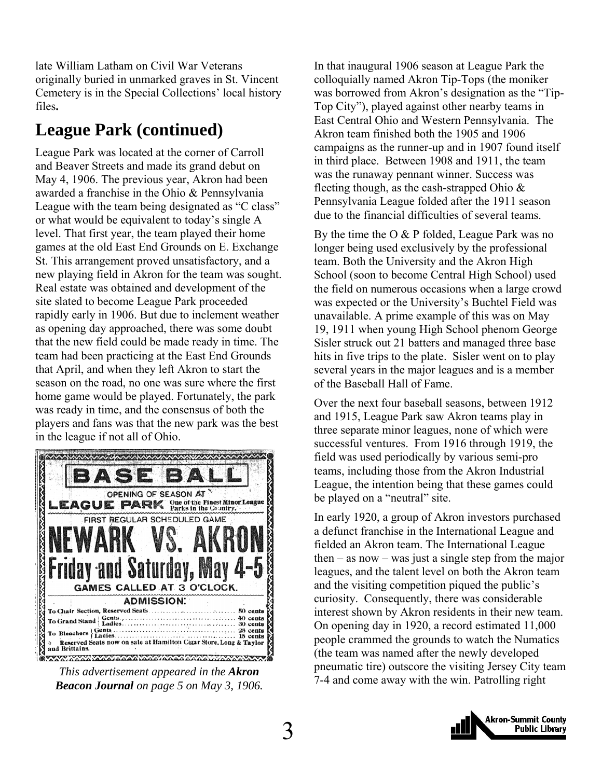<span id="page-2-0"></span>late William Latham on Civil War Veterans originally buried in unmarked graves in St. Vincent Cemetery is in the Special Collections' local history files**.** 

### **League Park (continued)**

League Park was located at the corner of Carroll and Beaver Streets and made its grand debut on May 4, 1906. The previous year, Akron had been awarded a franchise in the Ohio & Pennsylvania League with the team being designated as "C class" or what would be equivalent to today's single A level. That first year, the team played their home games at the old East End Grounds on E. Exchange St. This arrangement proved unsatisfactory, and a new playing field in Akron for the team was sought. Real estate was obtained and development of the site slated to become League Park proceeded rapidly early in 1906. But due to inclement weather as opening day approached, there was some doubt that the new field could be made ready in time. The team had been practicing at the East End Grounds that April, and when they left Akron to start the season on the road, no one was sure where the first home game would be played. Fortunately, the park was ready in time, and the consensus of both the players and fans was that the new park was the best in the league if not all of Ohio.



*Beacon Journal on page 5 on May 3, 1906.* 

In that inaugural 1906 season at League Park the colloquially named Akron Tip-Tops (the moniker was borrowed from Akron's designation as the "Tip-Top City"), played against other nearby teams in East Central Ohio and Western Pennsylvania. The Akron team finished both the 1905 and 1906 campaigns as the runner-up and in 1907 found itself in third place. Between 1908 and 1911, the team was the runaway pennant winner. Success was fleeting though, as the cash-strapped Ohio & Pennsylvania League folded after the 1911 season due to the financial difficulties of several teams.

By the time the O & P folded, League Park was no longer being used exclusively by the professional team. Both the University and the Akron High School (soon to become Central High School) used the field on numerous occasions when a large crowd was expected or the University's Buchtel Field was unavailable. A prime example of this was on May 19, 1911 when young High School phenom George Sisler struck out 21 batters and managed three base hits in five trips to the plate. Sisler went on to play several years in the major leagues and is a member of the Baseball Hall of Fame.

Over the next four baseball seasons, between 1912 and 1915, League Park saw Akron teams play in three separate minor leagues, none of which were successful ventures. From 1916 through 1919, the field was used periodically by various semi-pro teams, including those from the Akron Industrial League, the intention being that these games could be played on a "neutral" site.

In early 1920, a group of Akron investors purchased a defunct franchise in the International League and fielded an Akron team. The International League then – as now – was just a single step from the major leagues, and the talent level on both the Akron team and the visiting competition piqued the public's curiosity. Consequently, there was considerable interest shown by Akron residents in their new team. On opening day in 1920, a record estimated 11,000 people crammed the grounds to watch the Numatics (the team was named after the newly developed pneumatic tire) outscore the visiting Jersey City team *This advertisement appeared in the Akron*<br>2.4 and come away with the win. Patrolling right <sup>7-4</sup> and come away with the win. Patrolling right

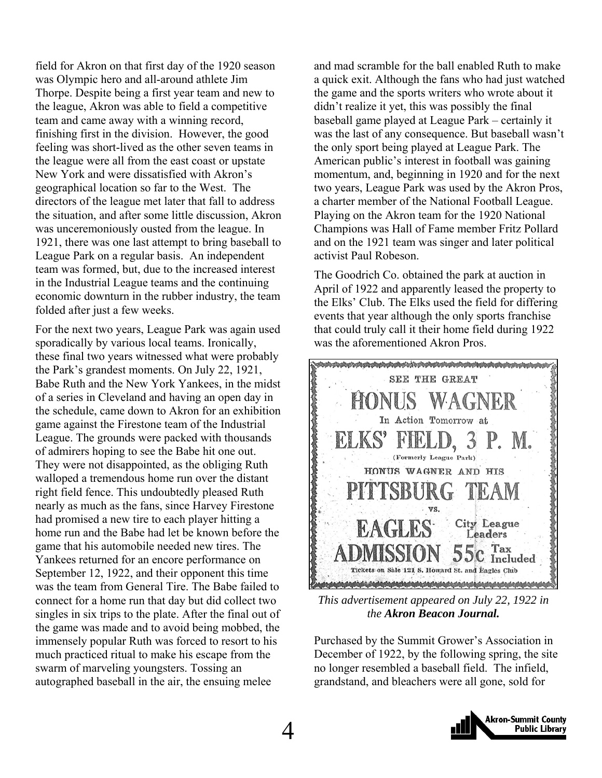field for Akron on that first day of the 1920 season was Olympic hero and all-around athlete Jim Thorpe. Despite being a first year team and new to the league, Akron was able to field a competitive team and came away with a winning record, finishing first in the division. However, the good feeling was short-lived as the other seven teams in the league were all from the east coast or upstate New York and were dissatisfied with Akron's geographical location so far to the West. The directors of the league met later that fall to address the situation, and after some little discussion, Akron was unceremoniously ousted from the league. In 1921, there was one last attempt to bring baseball to League Park on a regular basis. An independent team was formed, but, due to the increased interest in the Industrial League teams and the continuing economic downturn in the rubber industry, the team folded after just a few weeks.

For the next two years, League Park was again used sporadically by various local teams. Ironically, these final two years witnessed what were probably the Park's grandest moments. On July 22, 1921, Babe Ruth and the New York Yankees, in the midst of a series in Cleveland and having an open day in the schedule, came down to Akron for an exhibition game against the Firestone team of the Industrial League. The grounds were packed with thousands of admirers hoping to see the Babe hit one out. They were not disappointed, as the obliging Ruth walloped a tremendous home run over the distant right field fence. This undoubtedly pleased Ruth nearly as much as the fans, since Harvey Firestone had promised a new tire to each player hitting a home run and the Babe had let be known before the game that his automobile needed new tires. The Yankees returned for an encore performance on September 12, 1922, and their opponent this time was the team from General Tire. The Babe failed to connect for a home run that day but did collect two singles in six trips to the plate. After the final out of the game was made and to avoid being mobbed, the immensely popular Ruth was forced to resort to his much practiced ritual to make his escape from the swarm of marveling youngsters. Tossing an autographed baseball in the air, the ensuing melee

and mad scramble for the ball enabled Ruth to make a quick exit. Although the fans who had just watched the game and the sports writers who wrote about it didn't realize it yet, this was possibly the final baseball game played at League Park – certainly it was the last of any consequence. But baseball wasn't the only sport being played at League Park. The American public's interest in football was gaining momentum, and, beginning in 1920 and for the next two years, League Park was used by the Akron Pros, a charter member of the National Football League. Playing on the Akron team for the 1920 National Champions was Hall of Fame member Fritz Pollard and on the 1921 team was singer and later political activist Paul Robeson.

The Goodrich Co. obtained the park at auction in April of 1922 and apparently leased the property to the Elks' Club. The Elks used the field for differing events that year although the only sports franchise that could truly call it their home field during 1922 was the aforementioned Akron Pros.



*This advertisement appeared on July 22, 1922 in the Akron Beacon Journal.*

Purchased by the Summit Grower's Association in December of 1922, by the following spring, the site no longer resembled a baseball field. The infield, grandstand, and bleachers were all gone, sold for

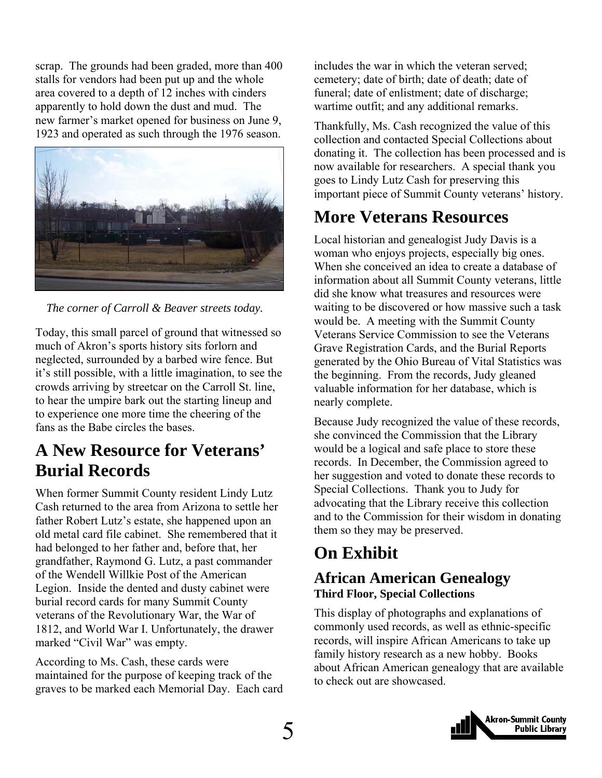<span id="page-4-0"></span>scrap. The grounds had been graded, more than 400 stalls for vendors had been put up and the whole area covered to a depth of 12 inches with cinders apparently to hold down the dust and mud. The new farmer's market opened for business on June 9, 1923 and operated as such through the 1976 season.



*The corner of Carroll & Beaver streets today.* 

Today, this small parcel of ground that witnessed so much of Akron's sports history sits forlorn and neglected, surrounded by a barbed wire fence. But it's still possible, with a little imagination, to see the crowds arriving by streetcar on the Carroll St. line, to hear the umpire bark out the starting lineup and to experience one more time the cheering of the fans as the Babe circles the bases.

### **A New Resource for Veterans' Burial Records**

When former Summit County resident Lindy Lutz Cash returned to the area from Arizona to settle her father Robert Lutz's estate, she happened upon an old metal card file cabinet. She remembered that it had belonged to her father and, before that, her grandfather, Raymond G. Lutz, a past commander of the Wendell Willkie Post of the American Legion. Inside the dented and dusty cabinet were burial record cards for many Summit County veterans of the Revolutionary War, the War of 1812, and World War I. Unfortunately, the drawer marked "Civil War" was empty.

According to Ms. Cash, these cards were maintained for the purpose of keeping track of the graves to be marked each Memorial Day. Each card includes the war in which the veteran served; cemetery; date of birth; date of death; date of funeral; date of enlistment; date of discharge; wartime outfit; and any additional remarks.

Thankfully, Ms. Cash recognized the value of this collection and contacted Special Collections about donating it. The collection has been processed and is now available for researchers. A special thank you goes to Lindy Lutz Cash for preserving this important piece of Summit County veterans' history.

### **More Veterans Resources**

Local historian and genealogist Judy Davis is a woman who enjoys projects, especially big ones. When she conceived an idea to create a database of information about all Summit County veterans, little did she know what treasures and resources were waiting to be discovered or how massive such a task would be. A meeting with the Summit County Veterans Service Commission to see the Veterans Grave Registration Cards, and the Burial Reports generated by the Ohio Bureau of Vital Statistics was the beginning. From the records, Judy gleaned valuable information for her database, which is nearly complete.

Because Judy recognized the value of these records, she convinced the Commission that the Library would be a logical and safe place to store these records. In December, the Commission agreed to her suggestion and voted to donate these records to Special Collections. Thank you to Judy for advocating that the Library receive this collection and to the Commission for their wisdom in donating them so they may be preserved.

### **On Exhibit**

#### **African American Genealogy Third Floor, Special Collections**

This display of photographs and explanations of commonly used records, as well as ethnic-specific records, will inspire African Americans to take up family history research as a new hobby. Books about African American genealogy that are available to check out are showcased.

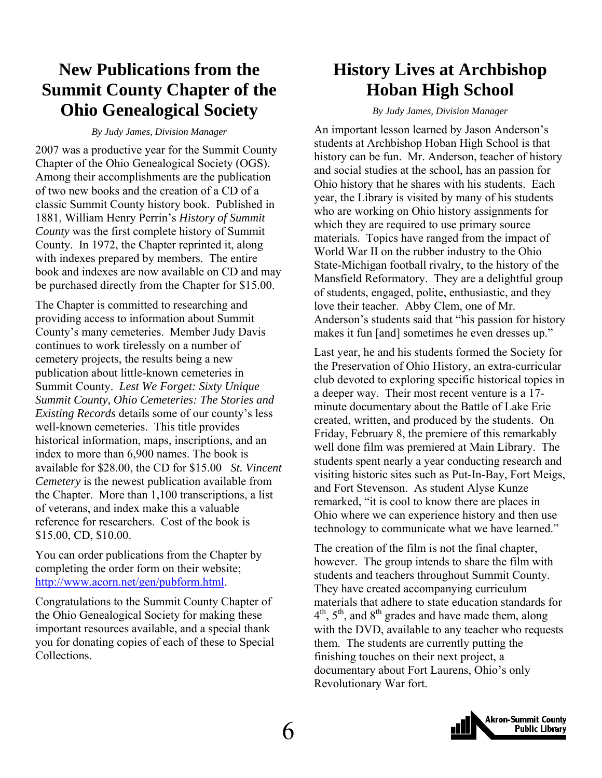### <span id="page-5-0"></span>**New Publications from the Summit County Chapter of the Ohio Genealogical Society**

*By Judy James, Division Manager* 

2007 was a productive year for the Summit County Chapter of the Ohio Genealogical Society (OGS). Among their accomplishments are the publication of two new books and the creation of a CD of a classic Summit County history book. Published in 1881, William Henry Perrin's *History of Summit County* was the first complete history of Summit County. In 1972, the Chapter reprinted it, along with indexes prepared by members. The entire book and indexes are now available on CD and may be purchased directly from the Chapter for \$15.00.

The Chapter is committed to researching and providing access to information about Summit County's many cemeteries. Member Judy Davis continues to work tirelessly on a number of cemetery projects, the results being a new publication about little-known cemeteries in Summit County. *Lest We Forget: Sixty Unique Summit County, Ohio Cemeteries: The Stories and Existing Records* details some of our county's less well-known cemeteries. This title provides historical information, maps, inscriptions, and an index to more than 6,900 names. The book is available for \$28.00, the CD for \$15.00 *St. Vincent Cemetery* is the newest publication available from the Chapter. More than 1,100 transcriptions, a list of veterans, and index make this a valuable reference for researchers. Cost of the book is \$15.00, CD, \$10.00.

You can order publications from the Chapter by completing the order form on their website; <http://www.acorn.net/gen/pubform.html>.

Congratulations to the Summit County Chapter of the Ohio Genealogical Society for making these important resources available, and a special thank you for donating copies of each of these to Special Collections.

### **History Lives at Archbishop Hoban High School**

*By Judy James, Division Manager* 

An important lesson learned by Jason Anderson's students at Archbishop Hoban High School is that history can be fun. Mr. Anderson, teacher of history and social studies at the school, has an passion for Ohio history that he shares with his students. Each year, the Library is visited by many of his students who are working on Ohio history assignments for which they are required to use primary source materials. Topics have ranged from the impact of World War II on the rubber industry to the Ohio State-Michigan football rivalry, to the history of the Mansfield Reformatory. They are a delightful group of students, engaged, polite, enthusiastic, and they love their teacher. Abby Clem, one of Mr. Anderson's students said that "his passion for history makes it fun [and] sometimes he even dresses up."

Last year, he and his students formed the Society for the Preservation of Ohio History, an extra-curricular club devoted to exploring specific historical topics in a deeper way. Their most recent venture is a 17 minute documentary about the Battle of Lake Erie created, written, and produced by the students. On Friday, February 8, the premiere of this remarkably well done film was premiered at Main Library. The students spent nearly a year conducting research and visiting historic sites such as Put-In-Bay, Fort Meigs, and Fort Stevenson. As student Alyse Kunze remarked, "it is cool to know there are places in Ohio where we can experience history and then use technology to communicate what we have learned."

The creation of the film is not the final chapter, however. The group intends to share the film with students and teachers throughout Summit County. They have created accompanying curriculum materials that adhere to state education standards for  $4<sup>th</sup>$ ,  $5<sup>th</sup>$ , and  $8<sup>th</sup>$  grades and have made them, along with the DVD, available to any teacher who requests them. The students are currently putting the finishing touches on their next project, a documentary about Fort Laurens, Ohio's only Revolutionary War fort.

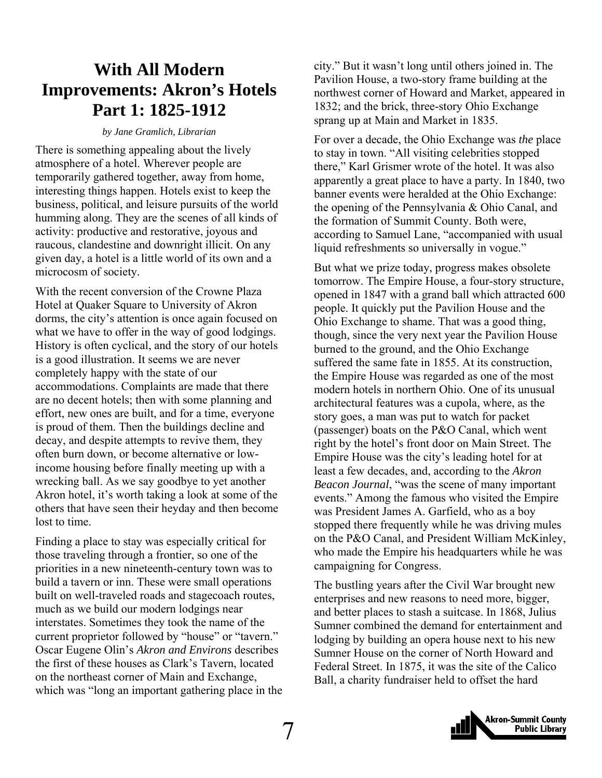### <span id="page-6-0"></span>**With All Modern Improvements: Akron's Hotels Part 1: 1825-1912**

*by Jane Gramlich, Librarian*

There is something appealing about the lively atmosphere of a hotel. Wherever people are temporarily gathered together, away from home, interesting things happen. Hotels exist to keep the business, political, and leisure pursuits of the world humming along. They are the scenes of all kinds of activity: productive and restorative, joyous and raucous, clandestine and downright illicit. On any given day, a hotel is a little world of its own and a microcosm of society.

With the recent conversion of the Crowne Plaza Hotel at Quaker Square to University of Akron dorms, the city's attention is once again focused on what we have to offer in the way of good lodgings. History is often cyclical, and the story of our hotels is a good illustration. It seems we are never completely happy with the state of our accommodations. Complaints are made that there are no decent hotels; then with some planning and effort, new ones are built, and for a time, everyone is proud of them. Then the buildings decline and decay, and despite attempts to revive them, they often burn down, or become alternative or lowincome housing before finally meeting up with a wrecking ball. As we say goodbye to yet another Akron hotel, it's worth taking a look at some of the others that have seen their heyday and then become lost to time.

Finding a place to stay was especially critical for those traveling through a frontier, so one of the priorities in a new nineteenth-century town was to build a tavern or inn. These were small operations built on well-traveled roads and stagecoach routes, much as we build our modern lodgings near interstates. Sometimes they took the name of the current proprietor followed by "house" or "tavern." Oscar Eugene Olin's *Akron and Environs* describes the first of these houses as Clark's Tavern, located on the northeast corner of Main and Exchange, which was "long an important gathering place in the

city." But it wasn't long until others joined in. The Pavilion House, a two-story frame building at the northwest corner of Howard and Market, appeared in 1832; and the brick, three-story Ohio Exchange sprang up at Main and Market in 1835.

For over a decade, the Ohio Exchange was *the* place to stay in town. "All visiting celebrities stopped there," Karl Grismer wrote of the hotel. It was also apparently a great place to have a party. In 1840, two banner events were heralded at the Ohio Exchange: the opening of the Pennsylvania & Ohio Canal, and the formation of Summit County. Both were, according to Samuel Lane, "accompanied with usual liquid refreshments so universally in vogue."

But what we prize today, progress makes obsolete tomorrow. The Empire House, a four-story structure, opened in 1847 with a grand ball which attracted 600 people. It quickly put the Pavilion House and the Ohio Exchange to shame. That was a good thing, though, since the very next year the Pavilion House burned to the ground, and the Ohio Exchange suffered the same fate in 1855. At its construction, the Empire House was regarded as one of the most modern hotels in northern Ohio. One of its unusual architectural features was a cupola, where, as the story goes, a man was put to watch for packet (passenger) boats on the P&O Canal, which went right by the hotel's front door on Main Street. The Empire House was the city's leading hotel for at least a few decades, and, according to the *Akron Beacon Journal*, "was the scene of many important events." Among the famous who visited the Empire was President James A. Garfield, who as a boy stopped there frequently while he was driving mules on the P&O Canal, and President William McKinley, who made the Empire his headquarters while he was campaigning for Congress.

The bustling years after the Civil War brought new enterprises and new reasons to need more, bigger, and better places to stash a suitcase. In 1868, Julius Sumner combined the demand for entertainment and lodging by building an opera house next to his new Sumner House on the corner of North Howard and Federal Street. In 1875, it was the site of the Calico Ball, a charity fundraiser held to offset the hard

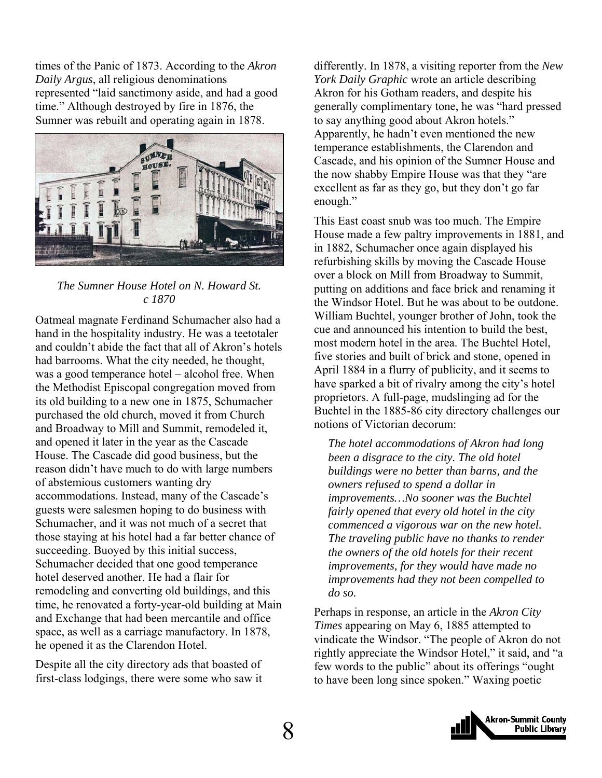times of the Panic of 1873. According to the *Akron Daily Argus*, all religious denominations represented "laid sanctimony aside, and had a good time." Although destroyed by fire in 1876, the Sumner was rebuilt and operating again in 1878.



#### *The Sumner House Hotel on N. Howard St. c 1870*

Oatmeal magnate Ferdinand Schumacher also had a hand in the hospitality industry. He was a teetotaler and couldn't abide the fact that all of Akron's hotels had barrooms. What the city needed, he thought, was a good temperance hotel – alcohol free. When the Methodist Episcopal congregation moved from its old building to a new one in 1875, Schumacher purchased the old church, moved it from Church and Broadway to Mill and Summit, remodeled it, and opened it later in the year as the Cascade House. The Cascade did good business, but the reason didn't have much to do with large numbers of abstemious customers wanting dry accommodations. Instead, many of the Cascade's guests were salesmen hoping to do business with Schumacher, and it was not much of a secret that those staying at his hotel had a far better chance of succeeding. Buoyed by this initial success, Schumacher decided that one good temperance hotel deserved another. He had a flair for remodeling and converting old buildings, and this time, he renovated a forty-year-old building at Main and Exchange that had been mercantile and office space, as well as a carriage manufactory. In 1878, he opened it as the Clarendon Hotel.

Despite all the city directory ads that boasted of first-class lodgings, there were some who saw it

differently. In 1878, a visiting reporter from the *New York Daily Graphic* wrote an article describing Akron for his Gotham readers, and despite his generally complimentary tone, he was "hard pressed to say anything good about Akron hotels." Apparently, he hadn't even mentioned the new temperance establishments, the Clarendon and Cascade, and his opinion of the Sumner House and the now shabby Empire House was that they "are excellent as far as they go, but they don't go far enough."

This East coast snub was too much. The Empire House made a few paltry improvements in 1881, and in 1882, Schumacher once again displayed his refurbishing skills by moving the Cascade House over a block on Mill from Broadway to Summit, putting on additions and face brick and renaming it the Windsor Hotel. But he was about to be outdone. William Buchtel, younger brother of John, took the cue and announced his intention to build the best, most modern hotel in the area. The Buchtel Hotel, five stories and built of brick and stone, opened in April 1884 in a flurry of publicity, and it seems to have sparked a bit of rivalry among the city's hotel proprietors. A full-page, mudslinging ad for the Buchtel in the 1885-86 city directory challenges our notions of Victorian decorum:

*The hotel accommodations of Akron had long been a disgrace to the city. The old hotel buildings were no better than barns, and the owners refused to spend a dollar in improvements…No sooner was the Buchtel fairly opened that every old hotel in the city commenced a vigorous war on the new hotel. The traveling public have no thanks to render the owners of the old hotels for their recent improvements, for they would have made no improvements had they not been compelled to do so.* 

Perhaps in response, an article in the *Akron City Times* appearing on May 6, 1885 attempted to vindicate the Windsor. "The people of Akron do not rightly appreciate the Windsor Hotel," it said, and "a few words to the public" about its offerings "ought to have been long since spoken." Waxing poetic

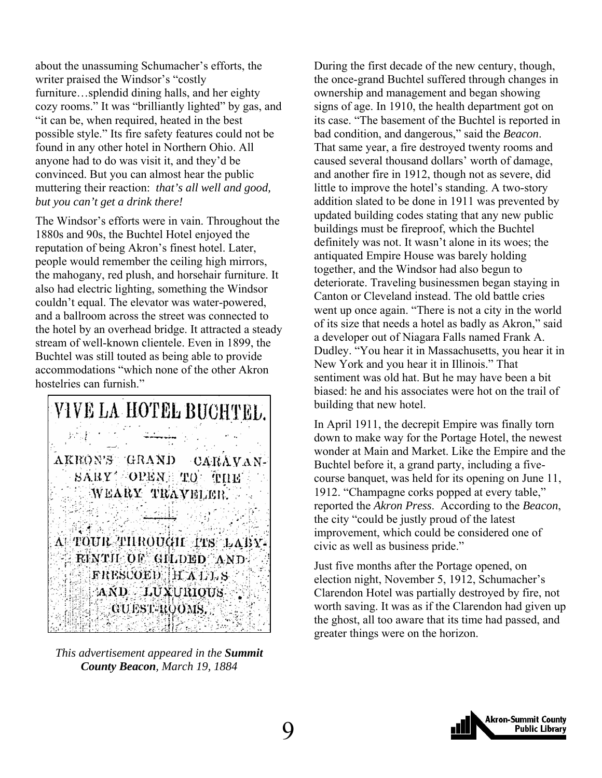about the unassuming Schumacher's efforts, the writer praised the Windsor's "costly furniture…splendid dining halls, and her eighty cozy rooms." It was "brilliantly lighted" by gas, and "it can be, when required, heated in the best possible style." Its fire safety features could not be found in any other hotel in Northern Ohio. All anyone had to do was visit it, and they'd be convinced. But you can almost hear the public muttering their reaction: *that's all well and good, but you can't get a drink there!*

The Windsor's efforts were in vain. Throughout the 1880s and 90s, the Buchtel Hotel enjoyed the reputation of being Akron's finest hotel. Later, people would remember the ceiling high mirrors, the mahogany, red plush, and horsehair furniture. It also had electric lighting, something the Windsor couldn't equal. The elevator was water-powered, and a ballroom across the street was connected to the hotel by an overhead bridge. It attracted a steady stream of well-known clientele. Even in 1899, the Buchtel was still touted as being able to provide accommodations "which none of the other Akron hostelries can furnish."

VIVE LA HOTEL BUCHTEL. AKEON'S GRAND CARAVAN-SARY OPEN TO **THE** WEARY TRAVELER. *11박도* : A TOUR THROUGH TTS LABY-RINTH OF GILDED AND FRESCOED HALLS AND LUXURIOUS **GUEST-ROOMS.** 

*This advertisement appeared in the Summit County Beacon, March 19, 1884* 

During the first decade of the new century, though, the once-grand Buchtel suffered through changes in ownership and management and began showing signs of age. In 1910, the health department got on its case. "The basement of the Buchtel is reported in bad condition, and dangerous," said the *Beacon*. That same year, a fire destroyed twenty rooms and caused several thousand dollars' worth of damage, and another fire in 1912, though not as severe, did little to improve the hotel's standing. A two-story addition slated to be done in 1911 was prevented by updated building codes stating that any new public buildings must be fireproof, which the Buchtel definitely was not. It wasn't alone in its woes; the antiquated Empire House was barely holding together, and the Windsor had also begun to deteriorate. Traveling businessmen began staying in Canton or Cleveland instead. The old battle cries went up once again. "There is not a city in the world of its size that needs a hotel as badly as Akron," said a developer out of Niagara Falls named Frank A. Dudley. "You hear it in Massachusetts, you hear it in New York and you hear it in Illinois." That sentiment was old hat. But he may have been a bit biased: he and his associates were hot on the trail of building that new hotel.

In April 1911, the decrepit Empire was finally torn down to make way for the Portage Hotel, the newest wonder at Main and Market. Like the Empire and the Buchtel before it, a grand party, including a fivecourse banquet, was held for its opening on June 11, 1912. "Champagne corks popped at every table," reported the *Akron Press*. According to the *Beacon*, the city "could be justly proud of the latest improvement, which could be considered one of civic as well as business pride."

Just five months after the Portage opened, on election night, November 5, 1912, Schumacher's Clarendon Hotel was partially destroyed by fire, not worth saving. It was as if the Clarendon had given up the ghost, all too aware that its time had passed, and greater things were on the horizon.

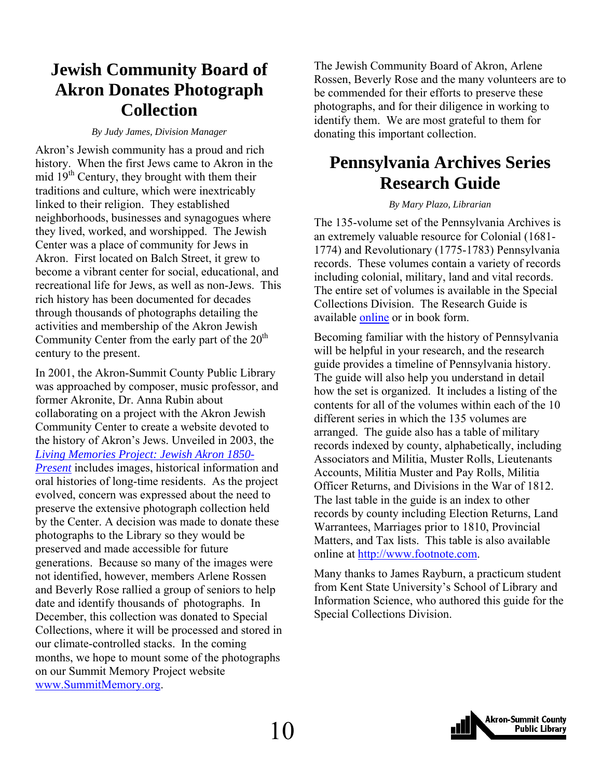### <span id="page-9-0"></span>**Jewish Community Board of Akron Donates Photograph Collection**

#### *By Judy James, Division Manager*

Akron's Jewish community has a proud and rich history. When the first Jews came to Akron in the mid 19th Century, they brought with them their traditions and culture, which were inextricably linked to their religion. They established neighborhoods, businesses and synagogues where they lived, worked, and worshipped. The Jewish Center was a place of community for Jews in Akron. First located on Balch Street, it grew to become a vibrant center for social, educational, and recreational life for Jews, as well as non-Jews. This rich history has been documented for decades through thousands of photographs detailing the activities and membership of the Akron Jewish Community Center from the early part of the  $20<sup>th</sup>$ century to the present.

In 2001, the Akron-Summit County Public Library was approached by composer, music professor, and former Akronite, Dr. Anna Rubin about collaborating on a project with the Akron Jewish Community Center to create a website devoted to the history of Akron's Jews. Unveiled in 2003, the *[Living Memories Project: Jewish Akron 1850-](http://www.jewishakron.org/memories/index.html) [Present](http://www.jewishakron.org/memories/index.html)* includes images, historical information and oral histories of long-time residents. As the project evolved, concern was expressed about the need to preserve the extensive photograph collection held by the Center. A decision was made to donate these photographs to the Library so they would be preserved and made accessible for future generations. Because so many of the images were not identified, however, members Arlene Rossen and Beverly Rose rallied a group of seniors to help date and identify thousands of photographs. In December, this collection was donated to Special Collections, where it will be processed and stored in our climate-controlled stacks. In the coming months, we hope to mount some of the photographs on our Summit Memory Project website [www.SummitMemory.org](http://www.summitmemory.org/).

The Jewish Community Board of Akron, Arlene Rossen, Beverly Rose and the many volunteers are to be commended for their efforts to preserve these photographs, and for their diligence in working to identify them. We are most grateful to them for donating this important collection.

### **Pennsylvania Archives Series Research Guide**

#### *By Mary Plazo, Librarian*

The 135-volume set of the Pennsylvania Archives is an extremely valuable resource for Colonial (1681- 1774) and Revolutionary (1775-1783) Pennsylvania records. These volumes contain a variety of records including colonial, military, land and vital records. The entire set of volumes is available in the Special Collections Division. The Research Guide is available [online](http://www.akronlibrary.org/internetresources/sc/pathfinders/PA_Archives_Research.pdf) or in book form.

Becoming familiar with the history of Pennsylvania will be helpful in your research, and the research guide provides a timeline of Pennsylvania history. The guide will also help you understand in detail how the set is organized. It includes a listing of the contents for all of the volumes within each of the 10 different series in which the 135 volumes are arranged. The guide also has a table of military records indexed by county, alphabetically, including Associators and Militia, Muster Rolls, Lieutenants Accounts, Militia Muster and Pay Rolls, Militia Officer Returns, and Divisions in the War of 1812. The last table in the guide is an index to other records by county including Election Returns, Land Warrantees, Marriages prior to 1810, Provincial Matters, and Tax lists. This table is also available online at [http://www.footnote.com.](http://www.footnote.com/)

Many thanks to James Rayburn, a practicum student from Kent State University's School of Library and Information Science, who authored this guide for the Special Collections Division.

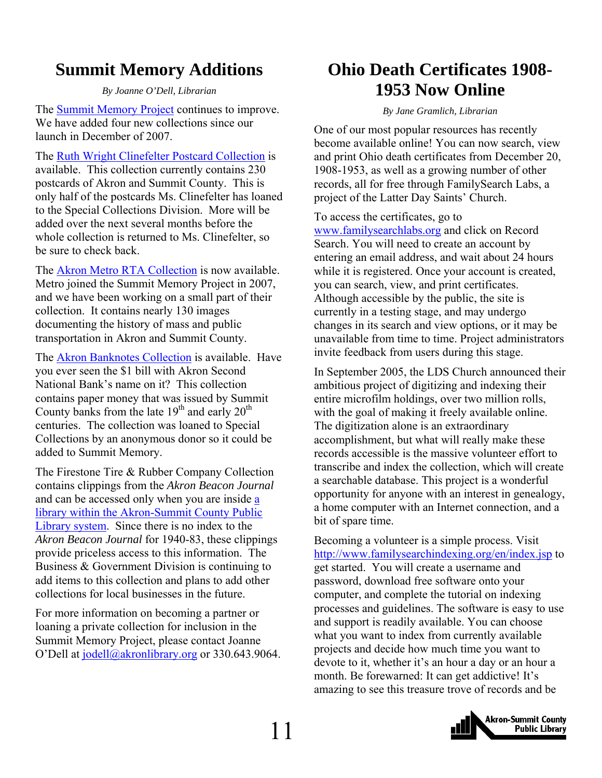### <span id="page-10-0"></span>**Summit Memory Additions**

#### *By Joanne O'Dell, Librarian*

The [Summit Memory Project](http://www.summitmemory.org/) continues to improve. We have added four new collections since our launch in December of 2007.

The [Ruth Wright Clinefelter Postcard Collection](http://www.summitmemory.org/cdm4/browse.php) is available. This collection currently contains 230 postcards of Akron and Summit County. This is only half of the postcards Ms. Clinefelter has loaned to the Special Collections Division. More will be added over the next several months before the whole collection is returned to Ms. Clinefelter, so be sure to check back.

The **Akron Metro RTA Collection** is now available. Metro joined the Summit Memory Project in 2007, and we have been working on a small part of their collection. It contains nearly 130 images documenting the history of mass and public transportation in Akron and Summit County.

The [Akron Banknotes Collection](http://www.summitmemory.org/cdm4/browse.php) is available. Have you ever seen the \$1 bill with Akron Second National Bank's name on it? This collection contains paper money that was issued by Summit County banks from the late  $19<sup>th</sup>$  and early  $20<sup>th</sup>$ centuries. The collection was loaned to Special Collections by an anonymous donor so it could be added to Summit Memory.

The Firestone Tire & Rubber Company Collection contains clippings from the *Akron Beacon Journal* and can be accessed only when you are inside [a](http://www.akronlibrary.org/branches.html)  [library within the Akron-Summit County Public](http://www.akronlibrary.org/branches.html)  [Library system](http://www.akronlibrary.org/branches.html). Since there is no index to the *Akron Beacon Journal* for 1940-83, these clippings provide priceless access to this information. The Business & Government Division is continuing to add items to this collection and plans to add other collections for local businesses in the future.

For more information on becoming a partner or loaning a private collection for inclusion in the Summit Memory Project, please contact Joanne O'Dell at [jodell@akronlibrary.org](mailto:jodell@akronlibrary.org) or 330.643.9064.

### **Ohio Death Certificates 1908- 1953 Now Online**

*By Jane Gramlich, Librarian* 

One of our most popular resources has recently become available online! You can now search, view and print Ohio death certificates from December 20, 1908-1953, as well as a growing number of other records, all for free through FamilySearch Labs, a project of the Latter Day Saints' Church.

To access the certificates, go to [www.familysearchlabs.org](http://www.familysearchlabs.org/) and click on Record Search. You will need to create an account by entering an email address, and wait about 24 hours while it is registered. Once your account is created, you can search, view, and print certificates. Although accessible by the public, the site is currently in a testing stage, and may undergo changes in its search and view options, or it may be unavailable from time to time. Project administrators invite feedback from users during this stage.

In September 2005, the LDS Church announced their ambitious project of digitizing and indexing their entire microfilm holdings, over two million rolls, with the goal of making it freely available online. The digitization alone is an extraordinary accomplishment, but what will really make these records accessible is the massive volunteer effort to transcribe and index the collection, which will create a searchable database. This project is a wonderful opportunity for anyone with an interest in genealogy, a home computer with an Internet connection, and a bit of spare time.

Becoming a volunteer is a simple process. Visit <http://www.familysearchindexing.org/en/index.jsp>to get started. You will create a username and password, download free software onto your computer, and complete the tutorial on indexing processes and guidelines. The software is easy to use and support is readily available. You can choose what you want to index from currently available projects and decide how much time you want to devote to it, whether it's an hour a day or an hour a month. Be forewarned: It can get addictive! It's amazing to see this treasure trove of records and be

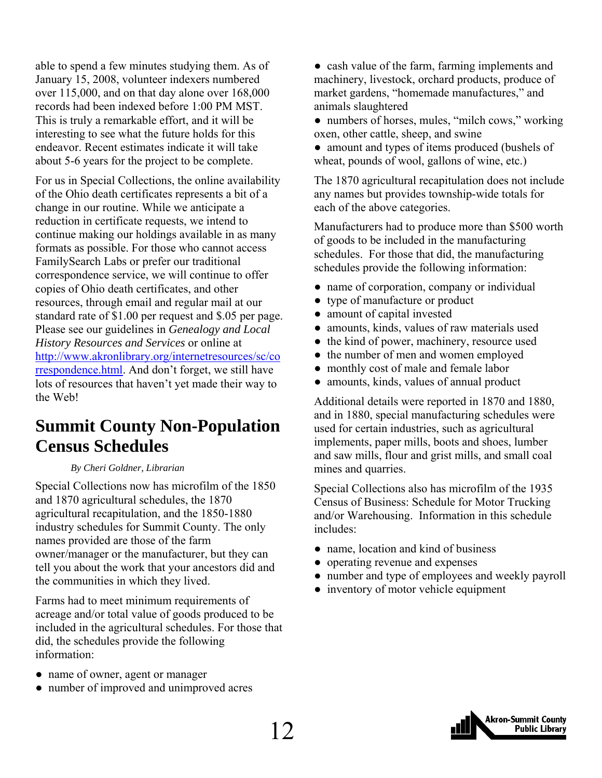<span id="page-11-0"></span>able to spend a few minutes studying them. As of January 15, 2008, volunteer indexers numbered over 115,000, and on that day alone over 168,000 records had been indexed before 1:00 PM MST. This is truly a remarkable effort, and it will be interesting to see what the future holds for this endeavor. Recent estimates indicate it will take about 5-6 years for the project to be complete.

For us in Special Collections, the online availability of the Ohio death certificates represents a bit of a change in our routine. While we anticipate a reduction in certificate requests, we intend to continue making our holdings available in as many formats as possible. For those who cannot access FamilySearch Labs or prefer our traditional correspondence service, we will continue to offer copies of Ohio death certificates, and other resources, through email and regular mail at our standard rate of \$1.00 per request and \$.05 per page. Please see our guidelines in *Genealogy and Local History Resources and Services* or online at [http://www.akronlibrary.org/internetresources/sc/co](http://www.akronlibrary.org/internetresources/sc/correspondence.html) [rrespondence.html.](http://www.akronlibrary.org/internetresources/sc/correspondence.html) And don't forget, we still have lots of resources that haven't yet made their way to the Web!

### **Summit County Non-Population Census Schedules**

#### *By Cheri Goldner, Librarian*

Special Collections now has microfilm of the 1850 and 1870 agricultural schedules, the 1870 agricultural recapitulation, and the 1850-1880 industry schedules for Summit County. The only names provided are those of the farm owner/manager or the manufacturer, but they can tell you about the work that your ancestors did and the communities in which they lived.

Farms had to meet minimum requirements of acreage and/or total value of goods produced to be included in the agricultural schedules. For those that did, the schedules provide the following information:

- name of owner, agent or manager
- number of improved and unimproved acres

• cash value of the farm, farming implements and machinery, livestock, orchard products, produce of market gardens, "homemade manufactures," and animals slaughtered

- numbers of horses, mules, "milch cows," working oxen, other cattle, sheep, and swine
- amount and types of items produced (bushels of wheat, pounds of wool, gallons of wine, etc.)

The 1870 agricultural recapitulation does not include any names but provides township-wide totals for each of the above categories.

Manufacturers had to produce more than \$500 worth of goods to be included in the manufacturing schedules. For those that did, the manufacturing schedules provide the following information:

- name of corporation, company or individual
- type of manufacture or product
- amount of capital invested
- amounts, kinds, values of raw materials used
- the kind of power, machinery, resource used
- the number of men and women employed
- monthly cost of male and female labor
- amounts, kinds, values of annual product

Additional details were reported in 1870 and 1880, and in 1880, special manufacturing schedules were used for certain industries, such as agricultural implements, paper mills, boots and shoes, lumber and saw mills, flour and grist mills, and small coal mines and quarries.

Special Collections also has microfilm of the 1935 Census of Business: Schedule for Motor Trucking and/or Warehousing. Information in this schedule includes:

- name, location and kind of business
- operating revenue and expenses
- number and type of employees and weekly payroll
- inventory of motor vehicle equipment

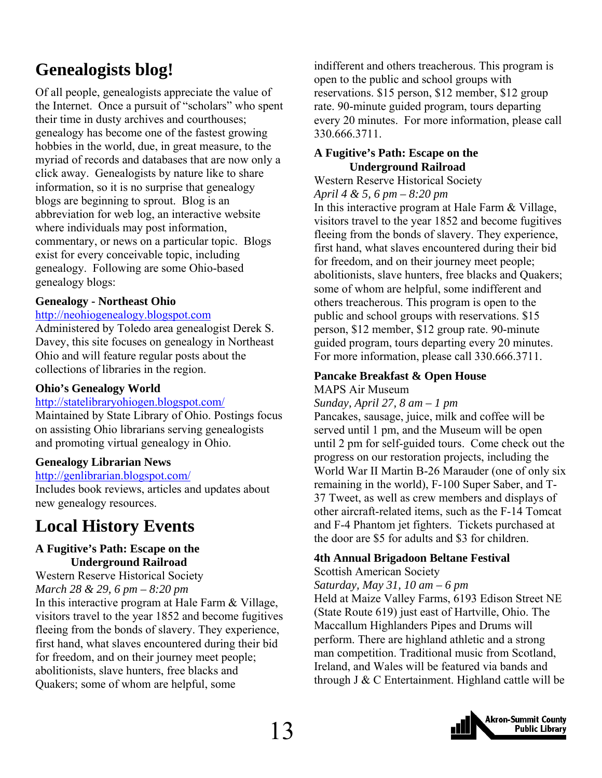### <span id="page-12-0"></span>**Genealogists blog!**

Of all people, genealogists appreciate the value of the Internet. Once a pursuit of "scholars" who spent their time in dusty archives and courthouses; genealogy has become one of the fastest growing hobbies in the world, due, in great measure, to the myriad of records and databases that are now only a click away. Genealogists by nature like to share information, so it is no surprise that genealogy blogs are beginning to sprout. Blog is an abbreviation for web log, an interactive website where individuals may post information, commentary, or news on a particular topic. Blogs exist for every conceivable topic, including genealogy. Following are some Ohio-based genealogy blogs:

#### **Genealogy - Northeast Ohio**

#### [http://neohiogenealogy.blogspot.com](http://neohiogenealogy.blogspot.com/)

Administered by Toledo area genealogist Derek S. Davey, this site focuses on genealogy in Northeast Ohio and will feature regular posts about the collections of libraries in the region.

#### **Ohio's Genealogy World**

#### <http://statelibraryohiogen.blogspot.com/>

Maintained by State Library of Ohio. Postings focus on assisting Ohio librarians serving genealogists and promoting virtual genealogy in Ohio.

#### **Genealogy Librarian News**

#### <http://genlibrarian.blogspot.com/>

Includes book reviews, articles and updates about new genealogy resources.

### **Local History Events**

#### **A Fugitive's Path: Escape on the Underground Railroad**

Western Reserve Historical Society *March 28 & 29, 6 pm – 8:20 pm*  In this interactive program at Hale Farm & Village, visitors travel to the year 1852 and become fugitives fleeing from the bonds of slavery. They experience, first hand, what slaves encountered during their bid for freedom, and on their journey meet people; abolitionists, slave hunters, free blacks and Quakers; some of whom are helpful, some

indifferent and others treacherous. This program is open to the public and school groups with reservations. \$15 person, \$12 member, \$12 group rate. 90-minute guided program, tours departing every 20 minutes. For more information, please call 330.666.3711.

#### **A Fugitive's Path: Escape on the Underground Railroad**

Western Reserve Historical Society *April 4 & 5, 6 pm – 8:20 pm* 

In this interactive program at Hale Farm & Village, visitors travel to the year 1852 and become fugitives fleeing from the bonds of slavery. They experience, first hand, what slaves encountered during their bid for freedom, and on their journey meet people; abolitionists, slave hunters, free blacks and Quakers; some of whom are helpful, some indifferent and others treacherous. This program is open to the public and school groups with reservations. \$15 person, \$12 member, \$12 group rate. 90-minute guided program, tours departing every 20 minutes. For more information, please call 330.666.3711.

#### **Pancake Breakfast & Open House**

MAPS Air Museum

*Sunday, April 27, 8 am – 1 pm* 

Pancakes, sausage, juice, milk and coffee will be served until 1 pm, and the Museum will be open until 2 pm for self-guided tours. Come check out the progress on our restoration projects, including the World War II Martin B-26 Marauder (one of only six remaining in the world), F-100 Super Saber, and T-37 Tweet, as well as crew members and displays of other aircraft-related items, such as the F-14 Tomcat and F-4 Phantom jet fighters. Tickets purchased at the door are \$5 for adults and \$3 for children.

#### **4th Annual Brigadoon Beltane Festival**

Scottish American Society

*Saturday, May 31, 10 am – 6 pm* 

Held at Maize Valley Farms, 6193 Edison Street NE (State Route 619) just east of Hartville, Ohio. The Maccallum Highlanders Pipes and Drums will perform. There are highland athletic and a strong man competition. Traditional music from Scotland, Ireland, and Wales will be featured via bands and through J  $&$  C Entertainment. Highland cattle will be

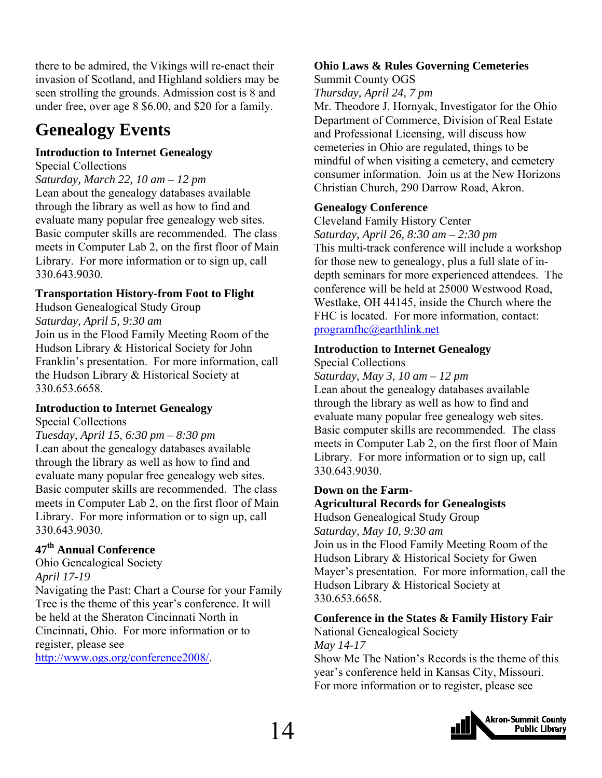there to be admired, the Vikings will re-enact their invasion of Scotland, and Highland soldiers may be seen strolling the grounds. Admission cost is 8 and under free, over age 8 \$6.00, and \$20 for a family.

### **Genealogy Events**

#### **Introduction to Internet Genealogy**

Special Collections

*Saturday, March 22, 10 am – 12 pm*  Lean about the genealogy databases available through the library as well as how to find and evaluate many popular free genealogy web sites. Basic computer skills are recommended. The class meets in Computer Lab 2, on the first floor of Main Library. For more information or to sign up, call 330.643.9030.

#### **Transportation History-from Foot to Flight**

Hudson Genealogical Study Group *Saturday, April 5, 9:30 am* 

Join us in the Flood Family Meeting Room of the Hudson Library & Historical Society for John Franklin's presentation. For more information, call the Hudson Library & Historical Society at 330.653.6658.

#### **Introduction to Internet Genealogy**

Special Collections

*Tuesday, April 15, 6:30 pm – 8:30 pm*  Lean about the genealogy databases available through the library as well as how to find and evaluate many popular free genealogy web sites. Basic computer skills are recommended. The class meets in Computer Lab 2, on the first floor of Main Library. For more information or to sign up, call 330.643.9030.

#### **47th Annual Conference**

Ohio Genealogical Society *April 17-19*  Navigating the Past: Chart a Course for your Family Tree is the theme of this year's conference. It will be held at the Sheraton Cincinnati North in Cincinnati, Ohio. For more information or to register, please see

[http://www.ogs.org/conference2008/.](http://www.ogs.org/conference2008/)

#### **Ohio Laws & Rules Governing Cemeteries**

Summit County OGS *Thursday, April 24, 7 pm* 

Mr. Theodore J. Hornyak, Investigator for the Ohio Department of Commerce, Division of Real Estate and Professional Licensing, will discuss how cemeteries in Ohio are regulated, things to be mindful of when visiting a cemetery, and cemetery consumer information. Join us at the New Horizons Christian Church, 290 Darrow Road, Akron.

#### **Genealogy Conference**

Cleveland Family History Center *Saturday, April 26, 8:30 am – 2:30 pm*  This multi-track conference will include a workshop for those new to genealogy, plus a full slate of indepth seminars for more experienced attendees. The conference will be held at 25000 Westwood Road, Westlake, OH 44145, inside the Church where the FHC is located. For more information, contact: [programfhc@earthlink.net](mailto:programfhc@earthlink.net)

#### **Introduction to Internet Genealogy**

Special Collections

*Saturday, May 3, 10 am – 12 pm*  Lean about the genealogy databases available through the library as well as how to find and evaluate many popular free genealogy web sites. Basic computer skills are recommended. The class meets in Computer Lab 2, on the first floor of Main Library. For more information or to sign up, call 330.643.9030.

#### **Down on the Farm-**

### **Agricultural Records for Genealogists**

Hudson Genealogical Study Group *Saturday, May 10, 9:30 am*  Join us in the Flood Family Meeting Room of the Hudson Library & Historical Society for Gwen Mayer's presentation. For more information, call the Hudson Library & Historical Society at 330.653.6658.

#### **Conference in the States & Family History Fair**

National Genealogical Society *May 14-17* 

Show Me The Nation's Records is the theme of this year's conference held in Kansas City, Missouri. For more information or to register, please see

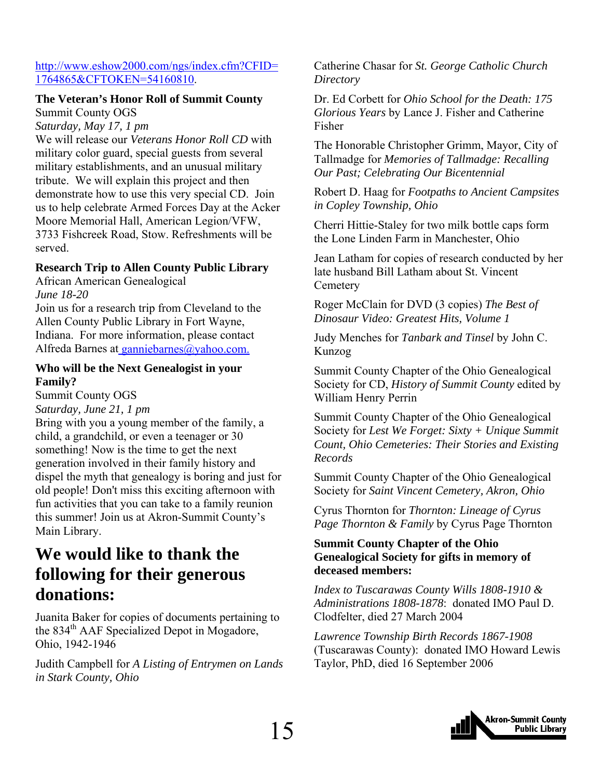#### <span id="page-14-0"></span>[http://www.eshow2000.com/ngs/index.cfm?CFID=](http://www.eshow2000.com/ngs/index.cfm?CFID=1764865&CFTOKEN=54160810) [1764865&CFTOKEN=54160810](http://www.eshow2000.com/ngs/index.cfm?CFID=1764865&CFTOKEN=54160810).

#### **The Veteran's Honor Roll of Summit County**

Summit County OGS *Saturday, May 17, 1 pm* 

We will release our *Veterans Honor Roll CD* with military color guard, special guests from several military establishments, and an unusual military tribute. We will explain this project and then demonstrate how to use this very special CD. Join us to help celebrate Armed Forces Day at the Acker Moore Memorial Hall, American Legion/VFW, 3733 Fishcreek Road, Stow. Refreshments will be served.

#### **Research Trip to Allen County Public Library**

African American Genealogical *June 18-20* 

Join us for a research trip from Cleveland to the Allen County Public Library in Fort Wayne, Indiana. For more information, please contact Alfreda Barnes at [ganniebarnes@yahoo.com.](mailto:ganniebarnes@yahoo.com)

#### **Who will be the Next Genealogist in your Family?**

Summit County OGS *Saturday, June 21, 1 pm* 

Bring with you a young member of the family, a child, a grandchild, or even a teenager or 30 something! Now is the time to get the next generation involved in their family history and dispel the myth that genealogy is boring and just for old people! Don't miss this exciting afternoon with fun activities that you can take to a family reunion this summer! Join us at Akron-Summit County's Main Library.

### **We would like to thank the following for their generous donations:**

Juanita Baker for copies of documents pertaining to the 834<sup>th</sup> AAF Specialized Depot in Mogadore, Ohio, 1942-1946

Judith Campbell for *A Listing of Entrymen on Lands in Stark County, Ohio* 

Catherine Chasar for *St. George Catholic Church Directory* 

Dr. Ed Corbett for *Ohio School for the Death: 175 Glorious Years* by Lance J. Fisher and Catherine Fisher

The Honorable Christopher Grimm, Mayor, City of Tallmadge for *Memories of Tallmadge: Recalling Our Past; Celebrating Our Bicentennial* 

Robert D. Haag for *Footpaths to Ancient Campsites in Copley Township, Ohio* 

Cherri Hittie-Staley for two milk bottle caps form the Lone Linden Farm in Manchester, Ohio

Jean Latham for copies of research conducted by her late husband Bill Latham about St. Vincent **Cemetery** 

Roger McClain for DVD (3 copies) *The Best of Dinosaur Video: Greatest Hits, Volume 1* 

Judy Menches for *Tanbark and Tinsel* by John C. Kunzog

Summit County Chapter of the Ohio Genealogical Society for CD, *History of Summit County* edited by William Henry Perrin

Summit County Chapter of the Ohio Genealogical Society for *Lest We Forget: Sixty + Unique Summit Count, Ohio Cemeteries: Their Stories and Existing Records* 

Summit County Chapter of the Ohio Genealogical Society for *Saint Vincent Cemetery, Akron, Ohio* 

Cyrus Thornton for *Thornton: Lineage of Cyrus Page Thornton & Family* by Cyrus Page Thornton

#### **Summit County Chapter of the Ohio Genealogical Society for gifts in memory of deceased members:**

*Index to Tuscarawas County Wills 1808-1910 & Administrations 1808-1878*: donated IMO Paul D. Clodfelter, died 27 March 2004

*Lawrence Township Birth Records 1867-1908* (Tuscarawas County): donated IMO Howard Lewis Taylor, PhD, died 16 September 2006

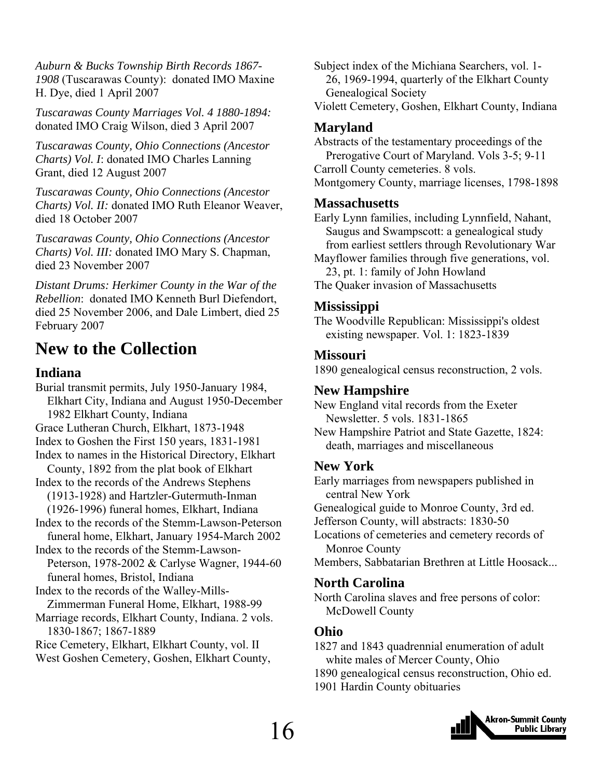<span id="page-15-0"></span>*Auburn & Bucks Township Birth Records 1867- 1908* (Tuscarawas County): donated IMO Maxine H. Dye, died 1 April 2007

*Tuscarawas County Marriages Vol. 4 1880-1894:* donated IMO Craig Wilson, died 3 April 2007

*Tuscarawas County, Ohio Connections (Ancestor Charts) Vol. I*: donated IMO Charles Lanning Grant, died 12 August 2007

*Tuscarawas County, Ohio Connections (Ancestor Charts) Vol. II:* donated IMO Ruth Eleanor Weaver, died 18 October 2007

*Tuscarawas County, Ohio Connections (Ancestor Charts) Vol. III:* donated IMO Mary S. Chapman, died 23 November 2007

*Distant Drums: Herkimer County in the War of the Rebellion*: donated IMO Kenneth Burl Diefendort, died 25 November 2006, and Dale Limbert, died 25 February 2007

### **New to the Collection**

#### **Indiana**

Burial transmit permits, July 1950-January 1984, Elkhart City, Indiana and August 1950-December 1982 Elkhart County, Indiana Grace Lutheran Church, Elkhart, 1873-1948 Index to Goshen the First 150 years, 1831-1981 Index to names in the Historical Directory, Elkhart County, 1892 from the plat book of Elkhart Index to the records of the Andrews Stephens (1913-1928) and Hartzler-Gutermuth-Inman (1926-1996) funeral homes, Elkhart, Indiana Index to the records of the Stemm-Lawson-Peterson funeral home, Elkhart, January 1954-March 2002 Index to the records of the Stemm-Lawson- Peterson, 1978-2002 & Carlyse Wagner, 1944-60 funeral homes, Bristol, Indiana Index to the records of the Walley-Mills- Zimmerman Funeral Home, Elkhart, 1988-99 Marriage records, Elkhart County, Indiana. 2 vols. 1830-1867; 1867-1889 Rice Cemetery, Elkhart, Elkhart County, vol. II West Goshen Cemetery, Goshen, Elkhart County,

Subject index of the Michiana Searchers, vol. 1- 26, 1969-1994, quarterly of the Elkhart County Genealogical Society

Violett Cemetery, Goshen, Elkhart County, Indiana

#### **Maryland**

Abstracts of the testamentary proceedings of the Prerogative Court of Maryland. Vols 3-5; 9-11 Carroll County cemeteries. 8 vols. Montgomery County, marriage licenses, 1798-1898

#### **Massachusetts**

Early Lynn families, including Lynnfield, Nahant, Saugus and Swampscott: a genealogical study from earliest settlers through Revolutionary War

Mayflower families through five generations, vol. 23, pt. 1: family of John Howland

The Quaker invasion of Massachusetts

#### **Mississippi**

The Woodville Republican: Mississippi's oldest existing newspaper. Vol. 1: 1823-1839

#### **Missouri**

1890 genealogical census reconstruction, 2 vols.

#### **New Hampshire**

New England vital records from the Exeter Newsletter. 5 vols. 1831-1865

New Hampshire Patriot and State Gazette, 1824: death, marriages and miscellaneous

#### **New York**

Early marriages from newspapers published in central New York Genealogical guide to Monroe County, 3rd ed.

Jefferson County, will abstracts: 1830-50

Locations of cemeteries and cemetery records of Monroe County

Members, Sabbatarian Brethren at Little Hoosack...

#### **North Carolina**

North Carolina slaves and free persons of color: McDowell County

#### **Ohio**

1827 and 1843 quadrennial enumeration of adult white males of Mercer County, Ohio

1890 genealogical census reconstruction, Ohio ed.

1901 Hardin County obituaries

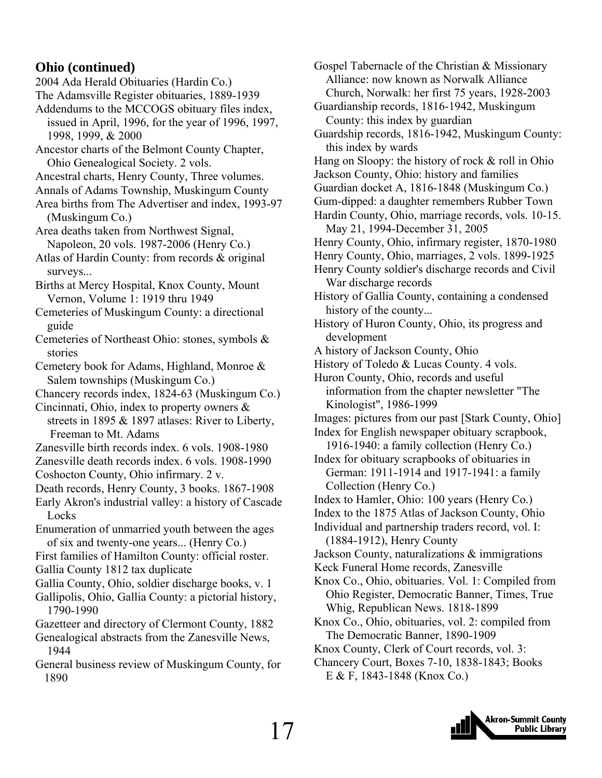#### **Ohio (continued)**

2004 Ada Herald Obituaries (Hardin Co.)

The Adamsville Register obituaries, 1889-1939

- Addendums to the MCCOGS obituary files index, issued in April, 1996, for the year of 1996, 1997, 1998, 1999, & 2000
- Ancestor charts of the Belmont County Chapter, Ohio Genealogical Society. 2 vols.
- Ancestral charts, Henry County, Three volumes.
- Annals of Adams Township, Muskingum County
- Area births from The Advertiser and index, 1993-97 (Muskingum Co.)

Area deaths taken from Northwest Signal, Napoleon, 20 vols. 1987-2006 (Henry Co.)

Atlas of Hardin County: from records & original surveys...

Births at Mercy Hospital, Knox County, Mount Vernon, Volume 1: 1919 thru 1949

- Cemeteries of Muskingum County: a directional guide
- Cemeteries of Northeast Ohio: stones, symbols & stories
- Cemetery book for Adams, Highland, Monroe & Salem townships (Muskingum Co.)
- Chancery records index, 1824-63 (Muskingum Co.)

Cincinnati, Ohio, index to property owners & streets in 1895 & 1897 atlases: River to Liberty,

Freeman to Mt. Adams

- Zanesville birth records index. 6 vols. 1908-1980
- Zanesville death records index. 6 vols. 1908-1990 Coshocton County, Ohio infirmary. 2 v.
- Death records, Henry County, 3 books. 1867-1908
- Early Akron's industrial valley: a history of Cascade **Locks**
- Enumeration of unmarried youth between the ages of six and twenty-one years... (Henry Co.)

First families of Hamilton County: official roster.

- Gallia County 1812 tax duplicate
- Gallia County, Ohio, soldier discharge books, v. 1
- Gallipolis, Ohio, Gallia County: a pictorial history, 1790-1990
- Gazetteer and directory of Clermont County, 1882
- Genealogical abstracts from the Zanesville News, 1944
- General business review of Muskingum County, for 1890

Gospel Tabernacle of the Christian & Missionary Alliance: now known as Norwalk Alliance Church, Norwalk: her first 75 years, 1928-2003 Guardianship records, 1816-1942, Muskingum County: this index by guardian Guardship records, 1816-1942, Muskingum County: this index by wards Hang on Sloopy: the history of rock & roll in Ohio Jackson County, Ohio: history and families Guardian docket A, 1816-1848 (Muskingum Co.) Gum-dipped: a daughter remembers Rubber Town Hardin County, Ohio, marriage records, vols. 10-15. May 21, 1994-December 31, 2005 Henry County, Ohio, infirmary register, 1870-1980 Henry County, Ohio, marriages, 2 vols. 1899-1925 Henry County soldier's discharge records and Civil War discharge records History of Gallia County, containing a condensed history of the county... History of Huron County, Ohio, its progress and development A history of Jackson County, Ohio History of Toledo & Lucas County. 4 vols. Huron County, Ohio, records and useful information from the chapter newsletter "The Kinologist", 1986-1999 Images: pictures from our past [Stark County, Ohio] Index for English newspaper obituary scrapbook, 1916-1940: a family collection (Henry Co.) Index for obituary scrapbooks of obituaries in German: 1911-1914 and 1917-1941: a family Collection (Henry Co.) Index to Hamler, Ohio: 100 years (Henry Co.) Index to the 1875 Atlas of Jackson County, Ohio Individual and partnership traders record, vol. I: (1884-1912), Henry County Jackson County, naturalizations & immigrations Keck Funeral Home records, Zanesville Knox Co., Ohio, obituaries. Vol. 1: Compiled from Ohio Register, Democratic Banner, Times, True Whig, Republican News. 1818-1899 Knox Co., Ohio, obituaries, vol. 2: compiled from The Democratic Banner, 1890-1909

- Knox County, Clerk of Court records, vol. 3:
- Chancery Court, Boxes 7-10, 1838-1843; Books E & F, 1843-1848 (Knox Co.)

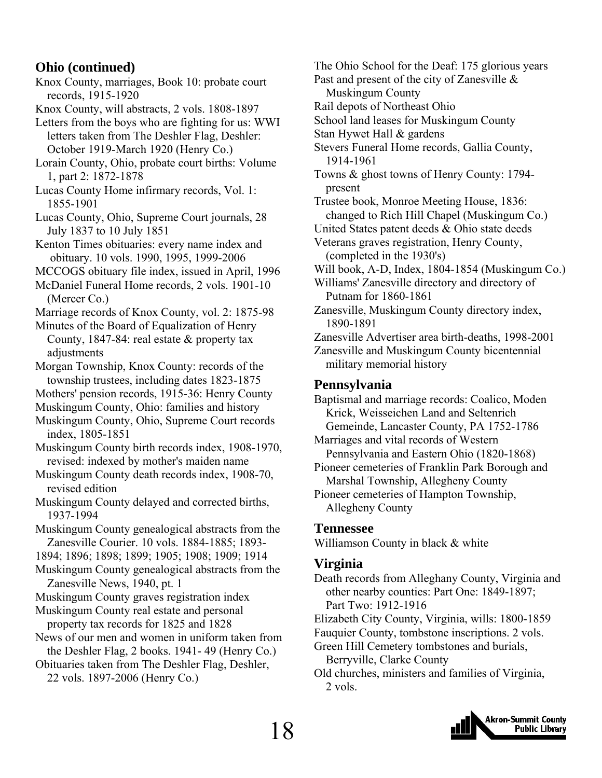#### **Ohio (continued)**

- Knox County, marriages, Book 10: probate court records, 1915-1920
- Knox County, will abstracts, 2 vols. 1808-1897
- Letters from the boys who are fighting for us: WWI letters taken from The Deshler Flag, Deshler: October 1919-March 1920 (Henry Co.)
- Lorain County, Ohio, probate court births: Volume 1, part 2: 1872-1878
- Lucas County Home infirmary records, Vol. 1: 1855-1901

Lucas County, Ohio, Supreme Court journals, 28 July 1837 to 10 July 1851

- Kenton Times obituaries: every name index and obituary. 10 vols. 1990, 1995, 1999-2006
- MCCOGS obituary file index, issued in April, 1996

McDaniel Funeral Home records, 2 vols. 1901-10 (Mercer Co.)

- Marriage records of Knox County, vol. 2: 1875-98
- Minutes of the Board of Equalization of Henry County, 1847-84: real estate & property tax adjustments
- Morgan Township, Knox County: records of the township trustees, including dates 1823-1875
- Mothers' pension records, 1915-36: Henry County
- Muskingum County, Ohio: families and history
- Muskingum County, Ohio, Supreme Court records index, 1805-1851
- Muskingum County birth records index, 1908-1970, revised: indexed by mother's maiden name
- Muskingum County death records index, 1908-70, revised edition
- Muskingum County delayed and corrected births, 1937-1994
- Muskingum County genealogical abstracts from the Zanesville Courier. 10 vols. 1884-1885; 1893-
- 1894; 1896; 1898; 1899; 1905; 1908; 1909; 1914
- Muskingum County genealogical abstracts from the Zanesville News, 1940, pt. 1
- Muskingum County graves registration index
- Muskingum County real estate and personal property tax records for 1825 and 1828
- News of our men and women in uniform taken from the Deshler Flag, 2 books. 1941- 49 (Henry Co.)
- Obituaries taken from The Deshler Flag, Deshler, 22 vols. 1897-2006 (Henry Co.)
- The Ohio School for the Deaf: 175 glorious years
- Past and present of the city of Zanesville & Muskingum County
- Rail depots of Northeast Ohio
- School land leases for Muskingum County
- Stan Hywet Hall & gardens
- Stevers Funeral Home records, Gallia County, 1914-1961
- Towns & ghost towns of Henry County: 1794 present
- Trustee book, Monroe Meeting House, 1836: changed to Rich Hill Chapel (Muskingum Co.)
- United States patent deeds & Ohio state deeds
- Veterans graves registration, Henry County, (completed in the 1930's)
- Will book, A-D, Index, 1804-1854 (Muskingum Co.)
- Williams' Zanesville directory and directory of Putnam for 1860-1861
- Zanesville, Muskingum County directory index, 1890-1891
- Zanesville Advertiser area birth-deaths, 1998-2001 Zanesville and Muskingum County bicentennial military memorial history

#### **Pennsylvania**

Baptismal and marriage records: Coalico, Moden Krick, Weisseichen Land and Seltenrich Gemeinde, Lancaster County, PA 1752-1786

- Marriages and vital records of Western Pennsylvania and Eastern Ohio (1820-1868)
- Pioneer cemeteries of Franklin Park Borough and Marshal Township, Allegheny County
- Pioneer cemeteries of Hampton Township, Allegheny County

#### **Tennessee**

Williamson County in black & white

#### **Virginia**

- Death records from Alleghany County, Virginia and other nearby counties: Part One: 1849-1897; Part Two: 1912-1916
- Elizabeth City County, Virginia, wills: 1800-1859
- Fauquier County, tombstone inscriptions. 2 vols.
- Green Hill Cemetery tombstones and burials,
- Berryville, Clarke County
- Old churches, ministers and families of Virginia, 2 vols.

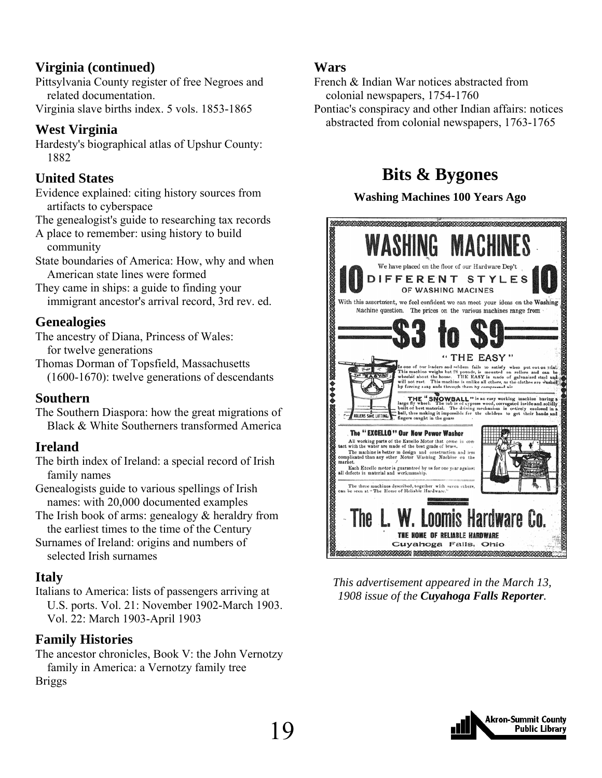### **Virginia (continued)**

Pittsylvania County register of free Negroes and related documentation.

Virginia slave births index. 5 vols. 1853-1865

#### **West Virginia**

Hardesty's biographical atlas of Upshur County: 1882

#### **United States**

Evidence explained: citing history sources from artifacts to cyberspace

The genealogist's guide to researching tax records

A place to remember: using history to build community

State boundaries of America: How, why and when American state lines were formed

They came in ships: a guide to finding your immigrant ancestor's arrival record, 3rd rev. ed.

#### **Genealogies**

The ancestry of Diana, Princess of Wales: for twelve generations

Thomas Dorman of Topsfield, Massachusetts (1600-1670): twelve generations of descendants

#### **Southern**

The Southern Diaspora: how the great migrations of Black & White Southerners transformed America

#### **Ireland**

The birth index of Ireland: a special record of Irish family names

Genealogists guide to various spellings of Irish names: with 20,000 documented examples

The Irish book of arms: genealogy & heraldry from the earliest times to the time of the Century

Surnames of Ireland: origins and numbers of selected Irish surnames

#### **Italy**

Italians to America: lists of passengers arriving at U.S. ports. Vol. 21: November 1902-March 1903. Vol. 22: March 1903-April 1903

#### **Family Histories**

The ancestor chronicles, Book V: the John Vernotzy family in America: a Vernotzy family tree Briggs

#### **Wars**

French & Indian War notices abstracted from colonial newspapers, 1754-1760

Pontiac's conspiracy and other Indian affairs: notices abstracted from colonial newspapers, 1763-1765

### **Bits & Bygones**

#### **Washing Machines 100 Years Ago**



*This advertisement appeared in the March 13, 1908 issue of the Cuyahoga Falls Reporter.*